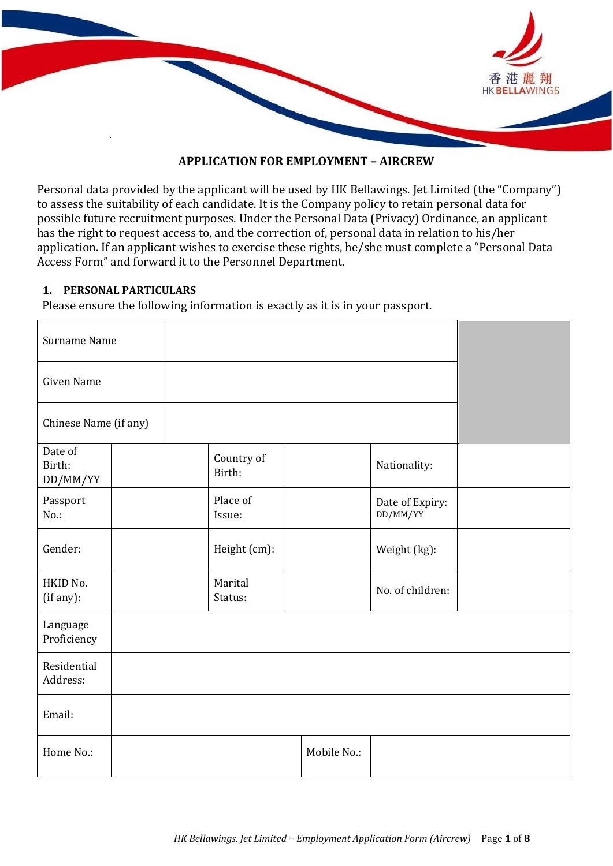

#### **APPLICATION FOR EMPLOYMENT – AIRCREW**

Personal data provided by the applicant will be used by HK Bellawings. Jet Limited (the "Company") to assess the suitability of each candidate. It is the Company policy to retain personal data for possible future recruitment purposes. Under the Personal Data (Privacy) Ordinance, an applicant has the right to request access to, and the correction of, personal data in relation to his/her application. If an applicant wishes to exercise these rights, he/she must complete a "Personal Data Access Form" and forward it to the Personnel Department.

#### **1. PERSONAL PARTICULARS**

Please ensure the following information is exactly as it is in your passport.

| Surname Name                  |  |                      |  |             |                             |  |
|-------------------------------|--|----------------------|--|-------------|-----------------------------|--|
| <b>Given Name</b>             |  |                      |  |             |                             |  |
| Chinese Name (if any)         |  |                      |  |             |                             |  |
| Date of<br>Birth:<br>DD/MM/YY |  | Country of<br>Birth: |  |             | Nationality:                |  |
| Passport<br>$No.$ :           |  | Place of<br>Issue:   |  |             | Date of Expiry:<br>DD/MM/YY |  |
| Gender:                       |  | Height (cm):         |  |             | Weight (kg):                |  |
| HKID No.<br>(if any):         |  | Marital<br>Status:   |  |             | No. of children:            |  |
| Language<br>Proficiency       |  |                      |  |             |                             |  |
| Residential<br>Address:       |  |                      |  |             |                             |  |
| Email:                        |  |                      |  |             |                             |  |
| Home No.:                     |  |                      |  | Mobile No.: |                             |  |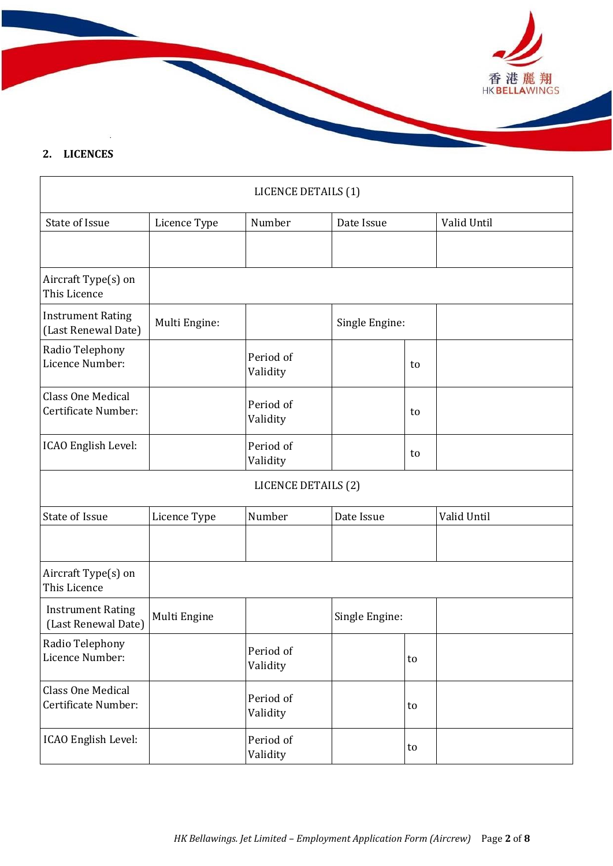

### **2. LICENCES**

|                                                 |               | LICENCE DETAILS (1)   |                |    |             |
|-------------------------------------------------|---------------|-----------------------|----------------|----|-------------|
| State of Issue                                  | Licence Type  | Number                | Date Issue     |    | Valid Until |
|                                                 |               |                       |                |    |             |
| Aircraft Type(s) on<br>This Licence             |               |                       |                |    |             |
| <b>Instrument Rating</b><br>(Last Renewal Date) | Multi Engine: |                       | Single Engine: |    |             |
| Radio Telephony<br>Licence Number:              |               | Period of<br>Validity |                | to |             |
| <b>Class One Medical</b><br>Certificate Number: |               | Period of<br>Validity |                | to |             |
| ICAO English Level:                             |               | Period of<br>Validity |                | to |             |
|                                                 |               | LICENCE DETAILS (2)   |                |    |             |
| State of Issue                                  | Licence Type  | Number                | Date Issue     |    | Valid Until |
|                                                 |               |                       |                |    |             |
| Aircraft Type(s) on<br>This Licence             |               |                       |                |    |             |
| <b>Instrument Rating</b><br>(Last Renewal Date) | Multi Engine  |                       | Single Engine: |    |             |
| Radio Telephony<br>Licence Number:              |               | Period of<br>Validity |                | to |             |
| <b>Class One Medical</b><br>Certificate Number: |               | Period of<br>Validity |                | to |             |
| ICAO English Level:                             |               | Period of<br>Validity |                | to |             |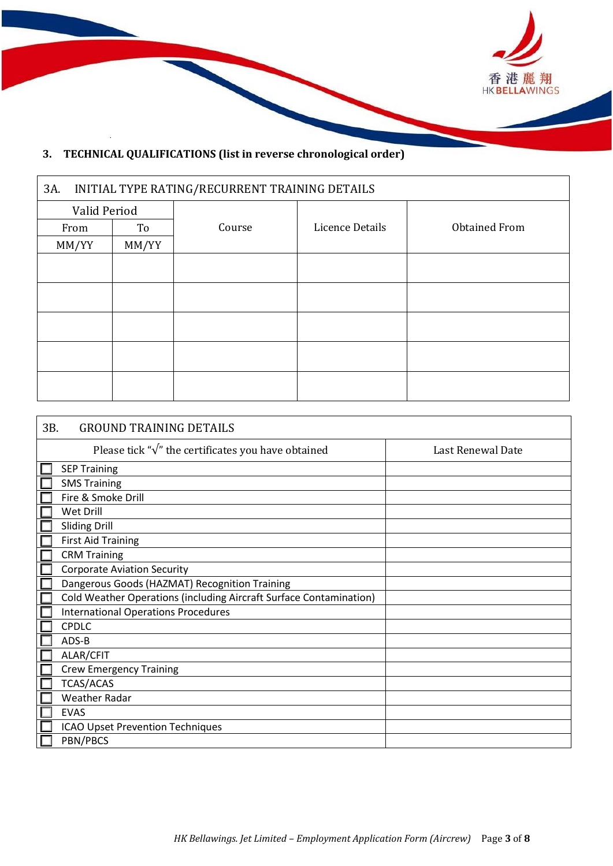

## **3. TECHNICAL QUALIFICATIONS (list in reverse chronological order)**

 $\mathbf{r}$ 

| INITIAL TYPE RATING/RECURRENT TRAINING DETAILS<br>3A. |       |        |                 |                      |  |  |  |
|-------------------------------------------------------|-------|--------|-----------------|----------------------|--|--|--|
| Valid Period                                          |       |        |                 |                      |  |  |  |
| From                                                  | To    | Course | Licence Details | <b>Obtained From</b> |  |  |  |
| MM/YY                                                 | MM/YY |        |                 |                      |  |  |  |
|                                                       |       |        |                 |                      |  |  |  |
|                                                       |       |        |                 |                      |  |  |  |
|                                                       |       |        |                 |                      |  |  |  |
|                                                       |       |        |                 |                      |  |  |  |
|                                                       |       |        |                 |                      |  |  |  |
|                                                       |       |        |                 |                      |  |  |  |
|                                                       |       |        |                 |                      |  |  |  |
|                                                       |       |        |                 |                      |  |  |  |
|                                                       |       |        |                 |                      |  |  |  |

| 3B.<br><b>GROUND TRAINING DETAILS</b>                              |                   |
|--------------------------------------------------------------------|-------------------|
| Please tick " $\sqrt{\ }$ " the certificates you have obtained     | Last Renewal Date |
| <b>SEP Training</b>                                                |                   |
| <b>SMS Training</b>                                                |                   |
| Fire & Smoke Drill                                                 |                   |
| Wet Drill                                                          |                   |
| <b>Sliding Drill</b>                                               |                   |
| <b>First Aid Training</b>                                          |                   |
| <b>CRM Training</b>                                                |                   |
| <b>Corporate Aviation Security</b>                                 |                   |
| Dangerous Goods (HAZMAT) Recognition Training                      |                   |
| Cold Weather Operations (including Aircraft Surface Contamination) |                   |
| <b>International Operations Procedures</b>                         |                   |
| <b>CPDLC</b>                                                       |                   |
| ADS-B                                                              |                   |
| ALAR/CFIT                                                          |                   |
| <b>Crew Emergency Training</b>                                     |                   |
| <b>TCAS/ACAS</b>                                                   |                   |
| Weather Radar                                                      |                   |
| <b>EVAS</b>                                                        |                   |
| <b>ICAO Upset Prevention Techniques</b>                            |                   |
| PBN/PBCS                                                           |                   |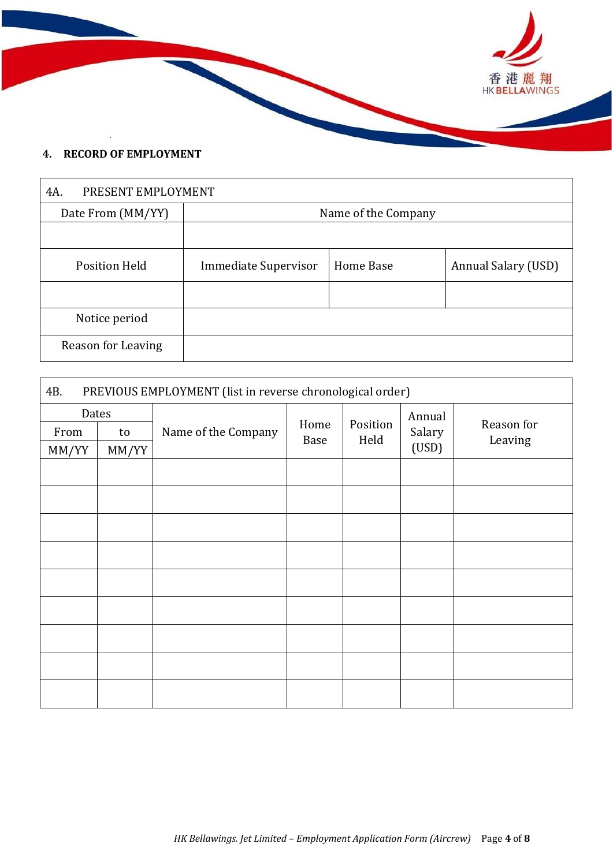

### **4. RECORD OF EMPLOYMENT**

| 4A.                  | PRESENT EMPLOYMENT   |                  |                     |  |  |  |  |
|----------------------|----------------------|------------------|---------------------|--|--|--|--|
| Date From (MM/YY)    | Name of the Company  |                  |                     |  |  |  |  |
|                      |                      |                  |                     |  |  |  |  |
| <b>Position Held</b> | Immediate Supervisor | <b>Home Base</b> | Annual Salary (USD) |  |  |  |  |
|                      |                      |                  |                     |  |  |  |  |
| Notice period        |                      |                  |                     |  |  |  |  |
| Reason for Leaving   |                      |                  |                     |  |  |  |  |

| PREVIOUS EMPLOYMENT (list in reverse chronological order)<br>4B. |       |                     |      |          |                 |            |
|------------------------------------------------------------------|-------|---------------------|------|----------|-----------------|------------|
| Dates                                                            |       |                     | Home | Position | Annual          | Reason for |
| From                                                             | to    | Name of the Company | Base |          | Salary<br>(USD) |            |
| MM/YY                                                            | MM/YY |                     |      | Held     |                 | Leaving    |
|                                                                  |       |                     |      |          |                 |            |
|                                                                  |       |                     |      |          |                 |            |
|                                                                  |       |                     |      |          |                 |            |
|                                                                  |       |                     |      |          |                 |            |
|                                                                  |       |                     |      |          |                 |            |
|                                                                  |       |                     |      |          |                 |            |
|                                                                  |       |                     |      |          |                 |            |
|                                                                  |       |                     |      |          |                 |            |
|                                                                  |       |                     |      |          |                 |            |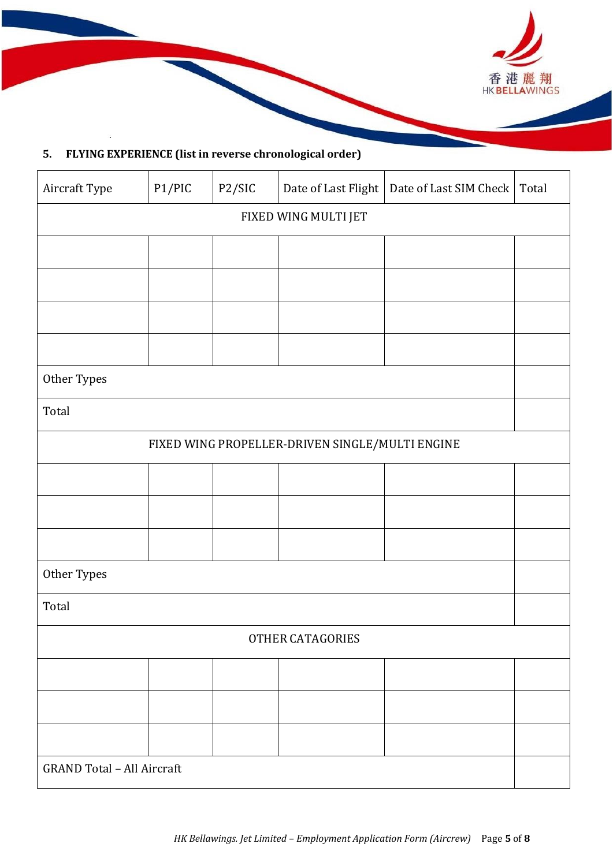

## **5. FLYING EXPERIENCE (list in reverse chronological order)**

| Aircraft Type                     | P1/PIC | P2/SIC |                                                 | Date of Last Flight   Date of Last SIM Check   Total |  |
|-----------------------------------|--------|--------|-------------------------------------------------|------------------------------------------------------|--|
| FIXED WING MULTI JET              |        |        |                                                 |                                                      |  |
|                                   |        |        |                                                 |                                                      |  |
|                                   |        |        |                                                 |                                                      |  |
|                                   |        |        |                                                 |                                                      |  |
|                                   |        |        |                                                 |                                                      |  |
| Other Types                       |        |        |                                                 |                                                      |  |
| Total                             |        |        |                                                 |                                                      |  |
|                                   |        |        | FIXED WING PROPELLER-DRIVEN SINGLE/MULTI ENGINE |                                                      |  |
|                                   |        |        |                                                 |                                                      |  |
|                                   |        |        |                                                 |                                                      |  |
|                                   |        |        |                                                 |                                                      |  |
| Other Types                       |        |        |                                                 |                                                      |  |
| Total                             |        |        |                                                 |                                                      |  |
| OTHER CATAGORIES                  |        |        |                                                 |                                                      |  |
|                                   |        |        |                                                 |                                                      |  |
|                                   |        |        |                                                 |                                                      |  |
|                                   |        |        |                                                 |                                                      |  |
| <b>GRAND Total - All Aircraft</b> |        |        |                                                 |                                                      |  |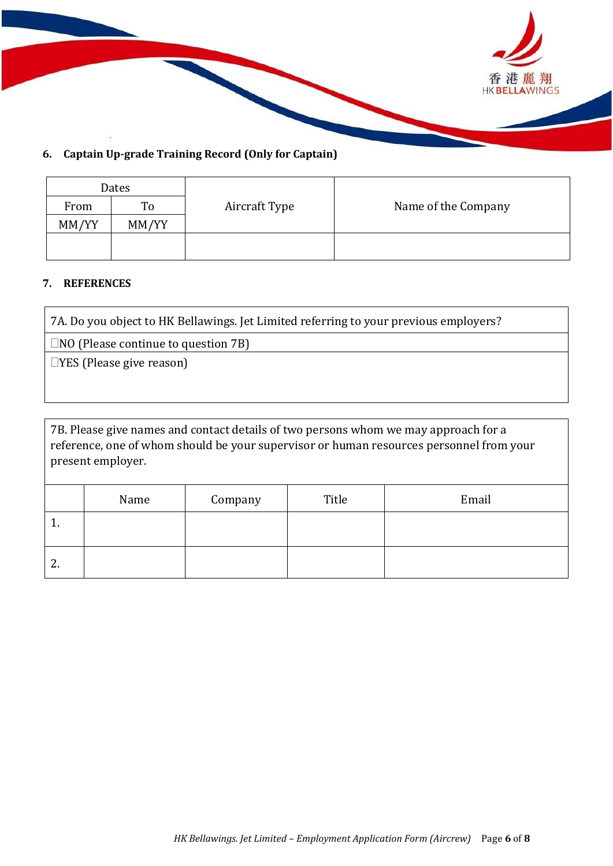

### **6. Captain Up-grade Training Record (Only for Captain)**

| Dates |       |               |                     |
|-------|-------|---------------|---------------------|
| From  | To    | Aircraft Type | Name of the Company |
| MM/YY | MM/YY |               |                     |
|       |       |               |                     |
|       |       |               |                     |

### **7. REFERENCES**

7A. Do you object to HK Bellawings. Jet Limited referring to your previous employers?

 $\Box$ NO (Please continue to question 7B)

YES (Please give reason)

7B. Please give names and contact details of two persons whom we may approach for a reference, one of whom should be your supervisor or human resources personnel from your present employer.

|    | Name | Company | Title | Email |
|----|------|---------|-------|-------|
| .  |      |         |       |       |
| 2. |      |         |       |       |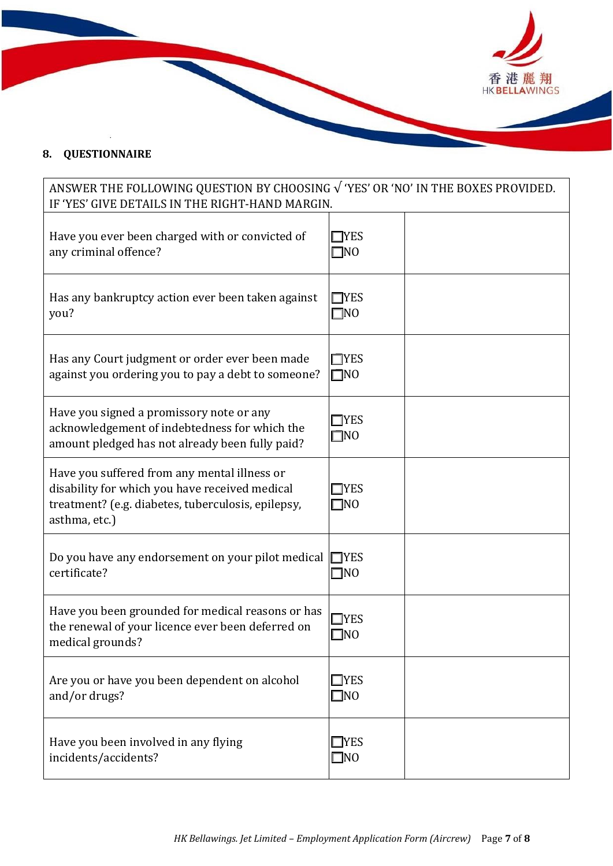

## **8. QUESTIONNAIRE**

# ANSWER THE FOLLOWING QUESTION BY CHOOSING √ 'YES' OR 'NO' IN THE BOXES PROVIDED. IF 'YES' GIVE DETAILS IN THE RIGHT-HAND MARGIN.

| Have you ever been charged with or convicted of<br>any criminal offence?                                                                                              | <b>TYES</b><br>¶NO          |  |
|-----------------------------------------------------------------------------------------------------------------------------------------------------------------------|-----------------------------|--|
| Has any bankruptcy action ever been taken against<br>you?                                                                                                             | <b>TYES</b><br>$\n  1N0\n$  |  |
| Has any Court judgment or order ever been made<br>against you ordering you to pay a debt to someone?                                                                  | $\Box$ YES<br>$\square$ NO  |  |
| Have you signed a promissory note or any<br>acknowledgement of indebtedness for which the<br>amount pledged has not already been fully paid?                          | <b>TYES</b><br>$\square$ NO |  |
| Have you suffered from any mental illness or<br>disability for which you have received medical<br>treatment? (e.g. diabetes, tuberculosis, epilepsy,<br>asthma, etc.) | $\neg$ YES<br>$\square$ NO  |  |
| Do you have any endorsement on your pilot medical $\Box$ YES<br>certificate?                                                                                          | $\mathbb{I}$ NO             |  |
| Have you been grounded for medical reasons or has<br>the renewal of your licence ever been deferred on<br>medical grounds?                                            | <b>I</b> YES<br>]NO         |  |
| Are you or have you been dependent on alcohol<br>and/or drugs?                                                                                                        | $\Box$ YES<br>$\square$ NO  |  |
| Have you been involved in any flying<br>incidents/accidents?                                                                                                          | <b>TYES</b><br>$\square$ NO |  |